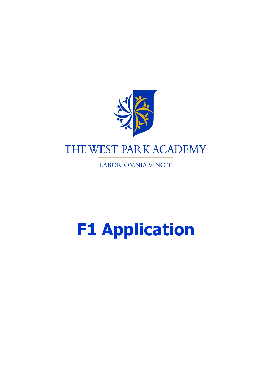

LABOR OMNIA VINCIT

## **F1 Application**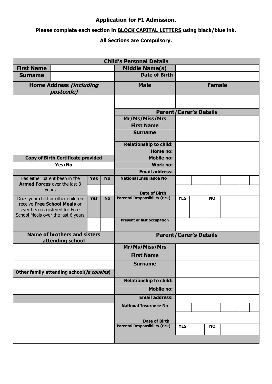## **Application for F1 Admission.**

## **Please complete each section in BLOCK CAPITAL LETTERS using black/blue ink.**

## **All Sections are Compulsory.**

| <b>Child's Personal Details</b>                                      |                                                                                                                                          |                       |                                       |                                          |            |           |           |  |  |  |  |
|----------------------------------------------------------------------|------------------------------------------------------------------------------------------------------------------------------------------|-----------------------|---------------------------------------|------------------------------------------|------------|-----------|-----------|--|--|--|--|
| <b>First Name</b>                                                    |                                                                                                                                          |                       | <b>Middle Name(s)</b>                 |                                          |            |           |           |  |  |  |  |
| <b>Surname</b>                                                       |                                                                                                                                          |                       | <b>Date of Birth</b>                  |                                          |            |           |           |  |  |  |  |
| <b>Home Address (including</b><br>postcode)                          |                                                                                                                                          |                       | <b>Male</b>                           | <b>Female</b>                            |            |           |           |  |  |  |  |
|                                                                      |                                                                                                                                          |                       |                                       |                                          |            |           |           |  |  |  |  |
|                                                                      |                                                                                                                                          |                       |                                       | <b>Parent/Carer's Details</b>            |            |           |           |  |  |  |  |
|                                                                      |                                                                                                                                          |                       |                                       | Mr/Ms/Miss/Mrs                           |            |           |           |  |  |  |  |
|                                                                      |                                                                                                                                          |                       |                                       | <b>First Name</b>                        |            |           |           |  |  |  |  |
|                                                                      |                                                                                                                                          |                       |                                       | <b>Surname</b>                           |            |           |           |  |  |  |  |
|                                                                      |                                                                                                                                          |                       |                                       | <b>Relationship to child:</b>            |            |           |           |  |  |  |  |
|                                                                      |                                                                                                                                          |                       |                                       | <b>Home no:</b>                          |            |           |           |  |  |  |  |
|                                                                      | <b>Copy of Birth Certificate provided</b>                                                                                                |                       |                                       | <b>Mobile no:</b>                        |            |           |           |  |  |  |  |
|                                                                      | Yes/No                                                                                                                                   |                       |                                       | <b>Work no:</b><br><b>Email address:</b> |            |           |           |  |  |  |  |
|                                                                      |                                                                                                                                          | <b>Yes</b>            | <b>No</b>                             | <b>National Insurance No</b>             |            |           |           |  |  |  |  |
| Has either parent been in the<br><b>Armed Forces</b> over the last 3 |                                                                                                                                          |                       |                                       |                                          |            |           |           |  |  |  |  |
| years                                                                |                                                                                                                                          |                       | <b>Date of Birth</b>                  |                                          |            |           |           |  |  |  |  |
|                                                                      | Does your child or other children<br>receive Free School Meals or<br>ever been registered for Free<br>School Meals over the last 6 years | <b>Yes</b>            | <b>No</b>                             | <b>Parental Responsibility (tick)</b>    | <b>YES</b> |           | <b>NO</b> |  |  |  |  |
|                                                                      |                                                                                                                                          |                       |                                       | <b>Present or last occupation</b>        |            |           |           |  |  |  |  |
| <b>Name of brothers and sisters</b><br>attending school              |                                                                                                                                          |                       | <b>Parent/Carer's Details</b>         |                                          |            |           |           |  |  |  |  |
|                                                                      |                                                                                                                                          |                       | Mr/Ms/Miss/Mrs                        |                                          |            |           |           |  |  |  |  |
|                                                                      |                                                                                                                                          |                       |                                       | <b>First Name</b>                        |            |           |           |  |  |  |  |
| Other family attending school(ie cousins)                            |                                                                                                                                          |                       | <b>Surname</b>                        |                                          |            |           |           |  |  |  |  |
|                                                                      |                                                                                                                                          |                       | <b>Relationship to child:</b>         |                                          |            |           |           |  |  |  |  |
|                                                                      |                                                                                                                                          |                       | <b>Mobile no:</b>                     |                                          |            |           |           |  |  |  |  |
|                                                                      |                                                                                                                                          | <b>Email address:</b> |                                       |                                          |            |           |           |  |  |  |  |
|                                                                      |                                                                                                                                          |                       | <b>National Insurance No</b>          |                                          |            |           |           |  |  |  |  |
|                                                                      |                                                                                                                                          | <b>Date of Birth</b>  |                                       |                                          |            |           |           |  |  |  |  |
|                                                                      |                                                                                                                                          |                       | <b>Parental Responsibility (tick)</b> | <b>YES</b>                               |            | <b>NO</b> |           |  |  |  |  |
|                                                                      |                                                                                                                                          |                       |                                       |                                          |            |           |           |  |  |  |  |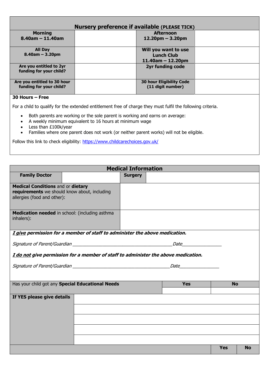| <b>Nursery preference if available (PLEASE TICK)</b>                                                        |  |                                                      |  |  |  |  |
|-------------------------------------------------------------------------------------------------------------|--|------------------------------------------------------|--|--|--|--|
| <b>Morning</b>                                                                                              |  | <b>Afternoon</b>                                     |  |  |  |  |
| $8.40$ am - 11.40am                                                                                         |  | $12.20pm - 3.20pm$                                   |  |  |  |  |
| <b>All Day</b>                                                                                              |  | Will you want to use                                 |  |  |  |  |
| $8.40$ am – 3.20pm                                                                                          |  | <b>Lunch Club</b>                                    |  |  |  |  |
|                                                                                                             |  | $11.40$ am – 12.20pm                                 |  |  |  |  |
| Are you entitled to 2yr<br>funding for your child?                                                          |  | <b>2yr funding code</b>                              |  |  |  |  |
| Are you entitled to 30 hour<br>funding for your child?                                                      |  | <b>30 hour Eligibility Code</b><br>(11 digit number) |  |  |  |  |
| 30 Hours – Free                                                                                             |  |                                                      |  |  |  |  |
| For a child to qualify for the extended entitlement free of charge they must fulfil the following criteria. |  |                                                      |  |  |  |  |

- Both parents are working or the sole parent is working and earns on average:
- A weekly minimum equivalent to 16 hours at minimum wage
- Less than £100k/year
- Families where one parent does not work (or neither parent works) will not be eligible.

Follow this link to check eligibility: <https://www.childcarechoices.gov.uk/>

| <b>Medical Information</b>                                                                                              |                                                                             |                |  |                  |            |           |  |
|-------------------------------------------------------------------------------------------------------------------------|-----------------------------------------------------------------------------|----------------|--|------------------|------------|-----------|--|
| <b>Family Doctor</b>                                                                                                    |                                                                             | <b>Surgery</b> |  |                  |            |           |  |
| <b>Medical Conditions and or dietary</b><br>requirements we should know about, including<br>allergies (food and other): |                                                                             |                |  |                  |            |           |  |
| inhalers):                                                                                                              | Medication needed in school: (including asthma                              |                |  |                  |            |           |  |
|                                                                                                                         | I give permission for a member of staff to administer the above medication. |                |  |                  |            |           |  |
|                                                                                                                         |                                                                             |                |  | <i>Date Date</i> |            |           |  |
| I do not give permission for a member of staff to administer the above medication.                                      |                                                                             |                |  |                  |            |           |  |
|                                                                                                                         |                                                                             |                |  | <i>Date</i>      |            |           |  |
|                                                                                                                         |                                                                             |                |  |                  |            |           |  |
|                                                                                                                         | Has your child got any Special Educational Needs                            |                |  | <b>Yes</b>       | <b>No</b>  |           |  |
| If YES please give details                                                                                              |                                                                             |                |  |                  |            |           |  |
|                                                                                                                         |                                                                             |                |  |                  |            |           |  |
|                                                                                                                         |                                                                             |                |  |                  |            |           |  |
|                                                                                                                         |                                                                             |                |  |                  |            |           |  |
|                                                                                                                         |                                                                             |                |  |                  |            |           |  |
|                                                                                                                         |                                                                             |                |  |                  |            |           |  |
|                                                                                                                         |                                                                             |                |  |                  | <b>Yes</b> | <b>No</b> |  |